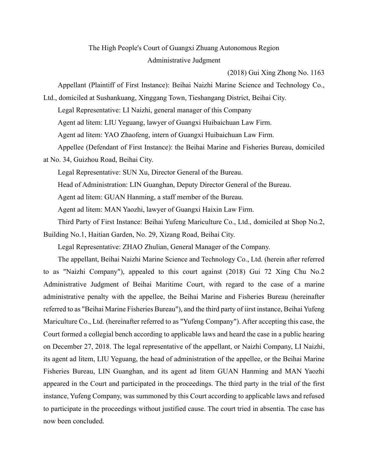## The High People's Court of Guangxi Zhuang Autonomous Region Administrative Judgment

(2018) Gui Xing Zhong No. 1163

Appellant (Plaintiff of First Instance): Beihai Naizhi Marine Science and Technology Co.,

Ltd., domiciled at Sushankuang, Xinggang Town, Tieshangang District, Beihai City. Legal Representative: LI Naizhi, general manager of this Company Agent ad litem: LIU Yeguang, lawyer of Guangxi Huibaichuan Law Firm. Agent ad litem: YAO Zhaofeng, intern of Guangxi Huibaichuan Law Firm. Appellee (Defendant of First Instance): the Beihai Marine and Fisheries Bureau, domiciled

at No. 34, Guizhou Road, Beihai City.

Legal Representative: SUN Xu, Director General of the Bureau.

Head of Administration: LIN Guanghan, Deputy Director General of the Bureau.

Agent ad litem: GUAN Hanming, a staff member of the Bureau.

Agent ad litem: MAN Yaozhi, lawyer of Guangxi Haixin Law Firm.

Third Party of First Instance: Beihai Yufeng Mariculture Co., Ltd., domiciled at Shop No.2, Building No.1, Haitian Garden, No. 29, Xizang Road, Beihai City.

Legal Representative: ZHAO Zhulian, General Manager of the Company.

The appellant, Beihai Naizhi Marine Science and Technology Co., Ltd. (herein after referred to as "Naizhi Company"), appealed to this court against (2018) Gui 72 Xing Chu No.2 Administrative Judgment of Beihai Maritime Court, with regard to the case of a marine administrative penalty with the appellee, the Beihai Marine and Fisheries Bureau (hereinafter referred to as "Beihai Marine Fisheries Bureau"), and the third party of iirst instance, Beihai Yufeng Mariculture Co., Ltd. (hereinafter referred to as "Yufeng Company"). After accepting this case, the Court formed a collegial bench according to applicable laws and heard the case in a public hearing on December 27, 2018. The legal representative of the appellant, or Naizhi Company, LI Naizhi, its agent ad litem, LIU Yeguang, the head of administration of the appellee, or the Beihai Marine Fisheries Bureau, LIN Guanghan, and its agent ad litem GUAN Hanming and MAN Yaozhi appeared in the Court and participated in the proceedings. The third party in the trial of the first instance, Yufeng Company, was summoned by this Court according to applicable laws and refused to participate in the proceedings without justified cause. The court tried in absentia. The case has now been concluded.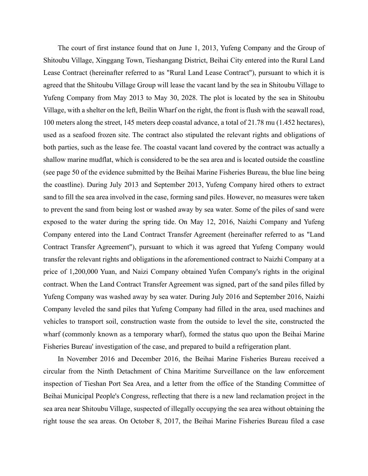The court of first instance found that on June 1, 2013, Yufeng Company and the Group of Shitoubu Village, Xinggang Town, Tieshangang District, Beihai City entered into the Rural Land Lease Contract (hereinafter referred to as "Rural Land Lease Contract"), pursuant to which it is agreed that the Shitoubu Village Group will lease the vacant land by the sea in Shitoubu Village to Yufeng Company from May 2013 to May 30, 2028. The plot is located by the sea in Shitoubu Village, with a shelter on the left, Beilin Wharf on the right, the front is flush with the seawall road, 100 meters along the street, 145 meters deep coastal advance, a total of 21.78 mu (1.452 hectares), used as a seafood frozen site. The contract also stipulated the relevant rights and obligations of both parties, such as the lease fee. The coastal vacant land covered by the contract was actually a shallow marine mudflat, which is considered to be the sea area and is located outside the coastline (see page 50 of the evidence submitted by the Beihai Marine Fisheries Bureau, the blue line being the coastline). During July 2013 and September 2013, Yufeng Company hired others to extract sand to fill the sea area involved in the case, forming sand piles. However, no measures were taken to prevent the sand from being lost or washed away by sea water. Some of the piles of sand were exposed to the water during the spring tide. On May 12, 2016, Naizhi Company and Yufeng Company entered into the Land Contract Transfer Agreement (hereinafter referred to as "Land Contract Transfer Agreement"), pursuant to which it was agreed that Yufeng Company would transfer the relevant rights and obligations in the aforementioned contract to Naizhi Company at a price of 1,200,000 Yuan, and Naizi Company obtained Yufen Company's rights in the original contract. When the Land Contract Transfer Agreement was signed, part of the sand piles filled by Yufeng Company was washed away by sea water. During July 2016 and September 2016, Naizhi Company leveled the sand piles that Yufeng Company had filled in the area, used machines and vehicles to transport soil, construction waste from the outside to level the site, constructed the wharf (commonly known as a temporary wharf), formed the status quo upon the Beihai Marine Fisheries Bureau' investigation of the case, and prepared to build a refrigeration plant.

In November 2016 and December 2016, the Beihai Marine Fisheries Bureau received a circular from the Ninth Detachment of China Maritime Surveillance on the law enforcement inspection of Tieshan Port Sea Area, and a letter from the office of the Standing Committee of Beihai Municipal People's Congress, reflecting that there is a new land reclamation project in the sea area near Shitoubu Village, suspected of illegally occupying the sea area without obtaining the right touse the sea areas. On October 8, 2017, the Beihai Marine Fisheries Bureau filed a case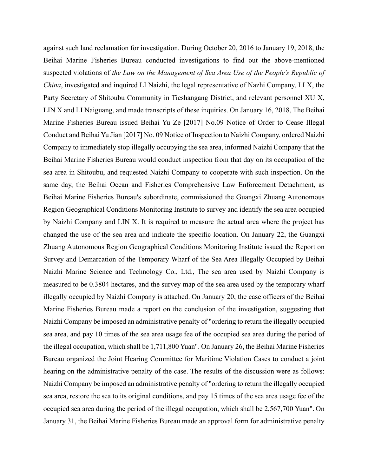against such land reclamation for investigation. During October 20, 2016 to January 19, 2018, the Beihai Marine Fisheries Bureau conducted investigations to find out the above-mentioned suspected violations of *the Law on the Management of Sea Area Use of the People's Republic of China*, investigated and inquired LI Naizhi, the legal representative of Nazhi Company, LI X, the Party Secretary of Shitoubu Community in Tieshangang District, and relevant personnel XU X, LIN X and LI Naiguang, and made transcripts of these inquiries. On January 16, 2018, The Beihai Marine Fisheries Bureau issued Beihai Yu Ze [2017] No.09 Notice of Order to Cease Illegal Conduct and Beihai Yu Jian [2017] No. 09 Notice of Inspection to Naizhi Company, ordered Naizhi Company to immediately stop illegally occupying the sea area, informed Naizhi Company that the Beihai Marine Fisheries Bureau would conduct inspection from that day on its occupation of the sea area in Shitoubu, and requested Naizhi Company to cooperate with such inspection. On the same day, the Beihai Ocean and Fisheries Comprehensive Law Enforcement Detachment, as Beihai Marine Fisheries Bureau's subordinate, commissioned the Guangxi Zhuang Autonomous Region Geographical Conditions Monitoring Institute to survey and identify the sea area occupied by Naizhi Company and LIN X. It is required to measure the actual area where the project has changed the use of the sea area and indicate the specific location. On January 22, the Guangxi Zhuang Autonomous Region Geographical Conditions Monitoring Institute issued the Report on Survey and Demarcation of the Temporary Wharf of the Sea Area Illegally Occupied by Beihai Naizhi Marine Science and Technology Co., Ltd., The sea area used by Naizhi Company is measured to be 0.3804 hectares, and the survey map of the sea area used by the temporary wharf illegally occupied by Naizhi Company is attached. On January 20, the case officers of the Beihai Marine Fisheries Bureau made a report on the conclusion of the investigation, suggesting that Naizhi Company be imposed an administrative penalty of "ordering to return the illegally occupied sea area, and pay 10 times of the sea area usage fee of the occupied sea area during the period of the illegal occupation, which shall be 1,711,800 Yuan". On January 26, the Beihai Marine Fisheries Bureau organized the Joint Hearing Committee for Maritime Violation Cases to conduct a joint hearing on the administrative penalty of the case. The results of the discussion were as follows: Naizhi Company be imposed an administrative penalty of "ordering to return the illegally occupied sea area, restore the sea to its original conditions, and pay 15 times of the sea area usage fee of the occupied sea area during the period of the illegal occupation, which shall be 2,567,700 Yuan". On January 31, the Beihai Marine Fisheries Bureau made an approval form for administrative penalty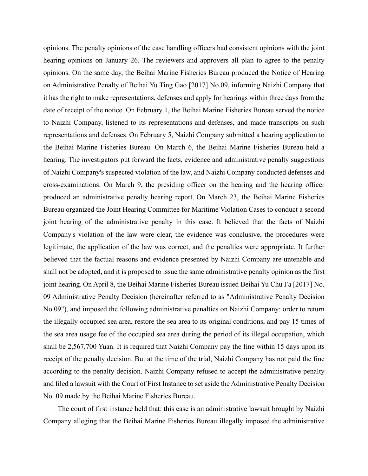opinions. The penalty opinions of the case handling officers had consistent opinions with the joint hearing opinions on January 26. The reviewers and approvers all plan to agree to the penalty opinions. On the same day, the Beihai Marine Fisheries Bureau produced the Notice of Hearing on Administrative Penalty of Beihai Yu Ting Gao [2017] No.09, informing Naizhi Company that it has the right to make representations, defenses and apply for hearings within three days from the date of receipt of the notice. On February 1, the Beihai Marine Fisheries Bureau served the notice to Naizhi Company, listened to its representations and defenses, and made transcripts on such representations and defenses. On February 5, Naizhi Company submitted a hearing application to the Beihai Marine Fisheries Bureau. On March 6, the Beihai Marine Fisheries Bureau held a hearing. The investigators put forward the facts, evidence and administrative penalty suggestions of Naizhi Company's suspected violation of the law, and Naizhi Company conducted defenses and cross-examinations. On March 9, the presiding officer on the hearing and the hearing officer produced an administrative penalty hearing report. On March 23, the Beihai Marine Fisheries Bureau organized the Joint Hearing Committee for Maritime Violation Cases to conduct a second joint hearing of the administrative penalty in this case. It believed that the facts of Naizhi Company's violation of the law were clear, the evidence was conclusive, the procedures were legitimate, the application of the law was correct, and the penalties were appropriate. It further believed that the factual reasons and evidence presented by Naizhi Company are untenable and shall not be adopted, and it is proposed to issue the same administrative penalty opinion as the first joint hearing. On April 8, the Beihai Marine Fisheries Bureau issued Beihai Yu Chu Fa [2017] No. 09 Administrative Penalty Decision (hereinafter referred to as "Administrative Penalty Decision No.09"), and imposed the following administrative penalties on Naizhi Company: order to return the illegally occupied sea area, restore the sea area to its original conditions, and pay 15 times of the sea area usage fee of the occupied sea area during the period of its illegal occupation, which shall be 2,567,700 Yuan. It is required that Naizhi Company pay the fine within 15 days upon its receipt of the penalty decision. But at the time of the trial, Naizhi Company has not paid the fine according to the penalty decision. Naizhi Company refused to accept the administrative penalty and filed a lawsuit with the Court of First Instance to set aside the Administrative Penalty Decision No. 09 made by the Beihai Marine Fisheries Bureau.

The court of first instance held that: this case is an administrative lawsuit brought by Naizhi Company alleging that the Beihai Marine Fisheries Bureau illegally imposed the administrative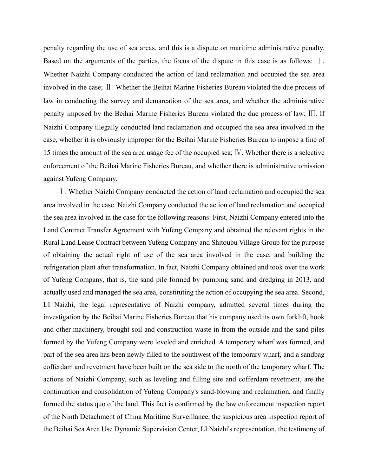penalty regarding the use of sea areas, and this is a dispute on maritime administrative penalty. Based on the arguments of the parties, the focus of the dispute in this case is as follows:  $\Box$ . Whether Naizhi Company conducted the action of land reclamation and occupied the sea area involved in the case; Ⅱ. Whether the Beihai Marine Fisheries Bureau violated the due process of law in conducting the survey and demarcation of the sea area, and whether the administrative penalty imposed by the Beihai Marine Fisheries Bureau violated the due process of law; Ⅲ. If Naizhi Company illegally conducted land reclamation and occupied the sea area involved in the case, whether it is obviously improper for the Beihai Marine Fisheries Bureau to impose a fine of 15 times the amount of the sea area usage fee of the occupied sea; Ⅳ. Whether there is a selective enforcement of the Beihai Marine Fisheries Bureau, and whether there is administrative omission against Yufeng Company.

Ⅰ. Whether Naizhi Company conducted the action of land reclamation and occupied the sea area involved in the case. Naizhi Company conducted the action of land reclamation and occupied the sea area involved in the case for the following reasons: First, Naizhi Company entered into the Land Contract Transfer Agreement with Yufeng Company and obtained the relevant rights in the Rural Land Lease Contract between Yufeng Company and Shitoubu Village Group for the purpose of obtaining the actual right of use of the sea area involved in the case, and building the refrigeration plant after transformation. In fact, Naizhi Company obtained and took over the work of Yufeng Company, that is, the sand pile formed by pumping sand and dredging in 2013, and actually used and managed the sea area, constituting the action of occupying the sea area. Second, LI Naizhi, the legal representative of Naizhi company, admitted several times during the investigation by the Beihai Marine Fisheries Bureau that his company used its own forklift, hook and other machinery, brought soil and construction waste in from the outside and the sand piles formed by the Yufeng Company were leveled and enriched. A temporary wharf was formed, and part of the sea area has been newly filled to the southwest of the temporary wharf, and a sandbag cofferdam and revetment have been built on the sea side to the north of the temporary wharf. The actions of Naizhi Company, such as leveling and filling site and cofferdam revetment, are the continuation and consolidation of Yufeng Company's sand-blowing and reclamation, and finally formed the status quo of the land. This fact is confirmed by the law enforcement inspection report of the Ninth Detachment of China Maritime Surveillance, the suspicious area inspection report of the Beihai Sea Area Use Dynamic Supervision Center, LI Naizhi's representation, the testimony of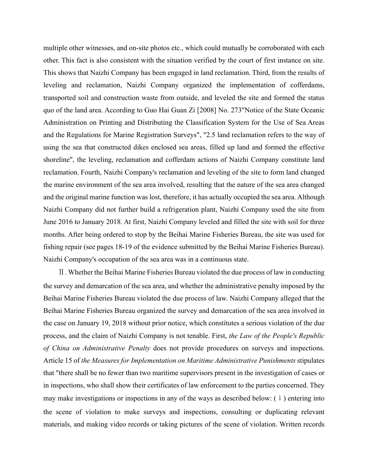multiple other witnesses, and on-site photos etc., which could mutually be corroborated with each other. This fact is also consistent with the situation verified by the court of first instance on site. This shows that Naizhi Company has been engaged in land reclamation. Third, from the results of leveling and reclamation, Naizhi Company organized the implementation of cofferdams, transported soil and construction waste from outside, and leveled the site and formed the status quo of the land area. According to Guo Hai Guan Zi [2008] No. 273"Notice of the State Oceanic Administration on Printing and Distributing the Classification System for the Use of Sea Areas and the Regulations for Marine Registration Surveys", "2.5 land reclamation refers to the way of using the sea that constructed dikes enclosed sea areas, filled up land and formed the effective shoreline", the leveling, reclamation and cofferdam actions of Naizhi Company constitute land reclamation. Fourth, Naizhi Company's reclamation and leveling of the site to form land changed the marine environment of the sea area involved, resulting that the nature of the sea area changed and the original marine function was lost, therefore, it has actually occupied the sea area. Although Naizhi Company did not further build a refrigeration plant, Naizhi Company used the site from June 2016 to January 2018. At first, Naizhi Company leveled and filled the site with soil for three months. After being ordered to stop by the Beihai Marine Fisheries Bureau, the site was used for fishing repair (see pages 18-19 of the evidence submitted by the Beihai Marine Fisheries Bureau). Naizhi Company's occupation of the sea area was in a continuous state.

Ⅱ. Whether the Beihai Marine Fisheries Bureau violated the due process of law in conducting the survey and demarcation of the sea area, and whether the administrative penalty imposed by the Beihai Marine Fisheries Bureau violated the due process of law. Naizhi Company alleged that the Beihai Marine Fisheries Bureau organized the survey and demarcation of the sea area involved in the case on January 19, 2018 without prior notice, which constitutes a serious violation of the due process, and the claim of Naizhi Company is not tenable. First, *the Law of the People's Republic of China on Administrative Penalty* does not provide procedures on surveys and inspections. Article 15 of *the Measures for Implementation on Maritime Administrative Punishments* stipulates that "there shall be no fewer than two maritime supervisors present in the investigation of cases or in inspections, who shall show their certificates of law enforcement to the parties concerned. They may make investigations or inspections in any of the ways as described below: (ⅰ) entering into the scene of violation to make surveys and inspections, consulting or duplicating relevant materials, and making video records or taking pictures of the scene of violation. Written records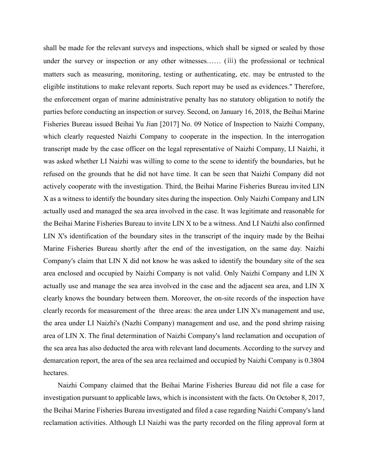shall be made for the relevant surveys and inspections, which shall be signed or sealed by those under the survey or inspection or any other witnesses…… (ⅲ) the professional or technical matters such as measuring, monitoring, testing or authenticating, etc. may be entrusted to the eligible institutions to make relevant reports. Such report may be used as evidences." Therefore, the enforcement organ of marine administrative penalty has no statutory obligation to notify the parties before conducting an inspection or survey. Second, on January 16, 2018, the Beihai Marine Fisheries Bureau issued Beihai Yu Jian [2017] No. 09 Notice of Inspection to Naizhi Company, which clearly requested Naizhi Company to cooperate in the inspection. In the interrogation transcript made by the case officer on the legal representative of Naizhi Company, LI Naizhi, it was asked whether LI Naizhi was willing to come to the scene to identify the boundaries, but he refused on the grounds that he did not have time. It can be seen that Naizhi Company did not actively cooperate with the investigation. Third, the Beihai Marine Fisheries Bureau invited LIN X as a witness to identify the boundary sites during the inspection. Only Naizhi Company and LIN actually used and managed the sea area involved in the case. It was legitimate and reasonable for the Beihai Marine Fisheries Bureau to invite LIN X to be a witness. And LI Naizhi also confirmed LIN X's identification of the boundary sites in the transcript of the inquiry made by the Beihai Marine Fisheries Bureau shortly after the end of the investigation, on the same day. Naizhi Company's claim that LIN X did not know he was asked to identify the boundary site of the sea area enclosed and occupied by Naizhi Company is not valid. Only Naizhi Company and LIN X actually use and manage the sea area involved in the case and the adjacent sea area, and LIN X clearly knows the boundary between them. Moreover, the on-site records of the inspection have clearly records for measurement of the three areas: the area under LIN X's management and use, the area under LI Naizhi's (Nazhi Company) management and use, and the pond shrimp raising area of LIN X. The final determination of Naizhi Company's land reclamation and occupation of the sea area has also deducted the area with relevant land documents. According to the survey and demarcation report, the area of the sea area reclaimed and occupied by Naizhi Company is 0.3804 hectares.

Naizhi Company claimed that the Beihai Marine Fisheries Bureau did not file a case for investigation pursuant to applicable laws, which is inconsistent with the facts. On October 8, 2017, the Beihai Marine Fisheries Bureau investigated and filed a case regarding Naizhi Company's land reclamation activities. Although LI Naizhi was the party recorded on the filing approval form at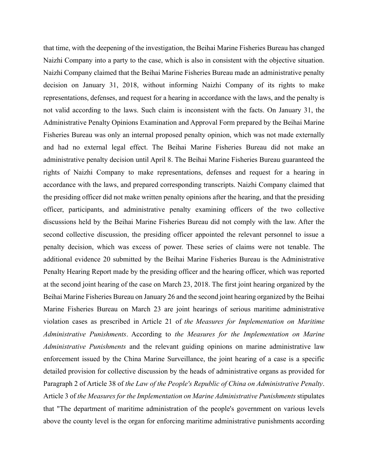that time, with the deepening of the investigation, the Beihai Marine Fisheries Bureau has changed Naizhi Company into a party to the case, which is also in consistent with the objective situation. Naizhi Company claimed that the Beihai Marine Fisheries Bureau made an administrative penalty decision on January 31, 2018, without informing Naizhi Company of its rights to make representations, defenses, and request for a hearing in accordance with the laws, and the penalty is not valid according to the laws. Such claim is inconsistent with the facts. On January 31, the Administrative Penalty Opinions Examination and Approval Form prepared by the Beihai Marine Fisheries Bureau was only an internal proposed penalty opinion, which was not made externally and had no external legal effect. The Beihai Marine Fisheries Bureau did not make an administrative penalty decision until April 8. The Beihai Marine Fisheries Bureau guaranteed the rights of Naizhi Company to make representations, defenses and request for a hearing in accordance with the laws, and prepared corresponding transcripts. Naizhi Company claimed that the presiding officer did not make written penalty opinions after the hearing, and that the presiding officer, participants, and administrative penalty examining officers of the two collective discussions held by the Beihai Marine Fisheries Bureau did not comply with the law. After the second collective discussion, the presiding officer appointed the relevant personnel to issue a penalty decision, which was excess of power. These series of claims were not tenable. The additional evidence 20 submitted by the Beihai Marine Fisheries Bureau is the Administrative Penalty Hearing Report made by the presiding officer and the hearing officer, which was reported at the second joint hearing of the case on March 23, 2018. The first joint hearing organized by the Beihai Marine Fisheries Bureau on January 26 and the second joint hearing organized by the Beihai Marine Fisheries Bureau on March 23 are joint hearings of serious maritime administrative violation cases as prescribed in Article 21 of *the Measures for Implementation on Maritime Administrative Punishments*. According to *the Measures for the Implementation on Marine Administrative Punishments* and the relevant guiding opinions on marine administrative law enforcement issued by the China Marine Surveillance, the joint hearing of a case is a specific detailed provision for collective discussion by the heads of administrative organs as provided for Paragraph 2 of Article 38 of *the Law of the People's Republic of China on Administrative Penalty*. Article 3 of *the Measures for the Implementation on Marine Administrative Punishments* stipulates that "The department of maritime administration of the people's government on various levels above the county level is the organ for enforcing maritime administrative punishments according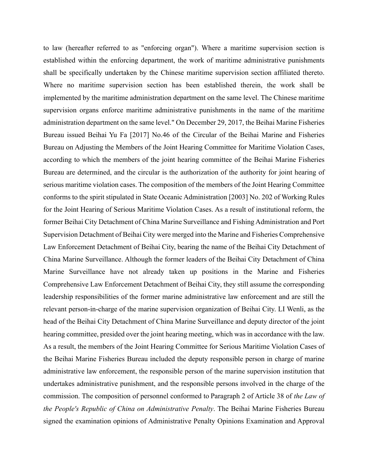to law (hereafter referred to as "enforcing organ"). Where a maritime supervision section is established within the enforcing department, the work of maritime administrative punishments shall be specifically undertaken by the Chinese maritime supervision section affiliated thereto. Where no maritime supervision section has been established therein, the work shall be implemented by the maritime administration department on the same level. The Chinese maritime supervision organs enforce maritime administrative punishments in the name of the maritime administration department on the same level." On December 29, 2017, the Beihai Marine Fisheries Bureau issued Beihai Yu Fa [2017] No.46 of the Circular of the Beihai Marine and Fisheries Bureau on Adjusting the Members of the Joint Hearing Committee for Maritime Violation Cases, according to which the members of the joint hearing committee of the Beihai Marine Fisheries Bureau are determined, and the circular is the authorization of the authority for joint hearing of serious maritime violation cases. The composition of the members of the Joint Hearing Committee conforms to the spirit stipulated in State Oceanic Administration [2003] No. 202 of Working Rules for the Joint Hearing of Serious Maritime Violation Cases. As a result of institutional reform, the former Beihai City Detachment of China Marine Surveillance and Fishing Administration and Port Supervision Detachment of Beihai City were merged into the Marine and Fisheries Comprehensive Law Enforcement Detachment of Beihai City, bearing the name of the Beihai City Detachment of China Marine Surveillance. Although the former leaders of the Beihai City Detachment of China Marine Surveillance have not already taken up positions in the Marine and Fisheries Comprehensive Law Enforcement Detachment of Beihai City, they still assume the corresponding leadership responsibilities of the former marine administrative law enforcement and are still the relevant person-in-charge of the marine supervision organization of Beihai City. LI Wenli, as the head of the Beihai City Detachment of China Marine Surveillance and deputy director of the joint hearing committee, presided over the joint hearing meeting, which was in accordance with the law. As a result, the members of the Joint Hearing Committee for Serious Maritime Violation Cases of the Beihai Marine Fisheries Bureau included the deputy responsible person in charge of marine administrative law enforcement, the responsible person of the marine supervision institution that undertakes administrative punishment, and the responsible persons involved in the charge of the commission. The composition of personnel conformed to Paragraph 2 of Article 38 of *the Law of the People's Republic of China on Administrative Penalty*. The Beihai Marine Fisheries Bureau signed the examination opinions of Administrative Penalty Opinions Examination and Approval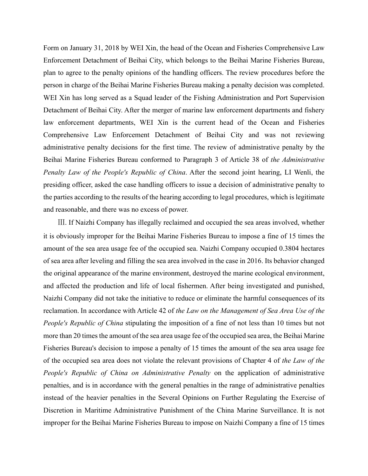Form on January 31, 2018 by WEI Xin, the head of the Ocean and Fisheries Comprehensive Law Enforcement Detachment of Beihai City, which belongs to the Beihai Marine Fisheries Bureau, plan to agree to the penalty opinions of the handling officers. The review procedures before the person in charge of the Beihai Marine Fisheries Bureau making a penalty decision was completed. WEI Xin has long served as a Squad leader of the Fishing Administration and Port Supervision Detachment of Beihai City. After the merger of marine law enforcement departments and fishery law enforcement departments, WEI Xin is the current head of the Ocean and Fisheries Comprehensive Law Enforcement Detachment of Beihai City and was not reviewing administrative penalty decisions for the first time. The review of administrative penalty by the Beihai Marine Fisheries Bureau conformed to Paragraph 3 of Article 38 of *the Administrative Penalty Law of the People's Republic of China*. After the second joint hearing, LI Wenli, the presiding officer, asked the case handling officers to issue a decision of administrative penalty to the parties according to the results of the hearing according to legal procedures, which is legitimate and reasonable, and there was no excess of power.

Ⅲ. If Naizhi Company has illegally reclaimed and occupied the sea areas involved, whether it is obviously improper for the Beihai Marine Fisheries Bureau to impose a fine of 15 times the amount of the sea area usage fee of the occupied sea. Naizhi Company occupied 0.3804 hectares of sea area after leveling and filling the sea area involved in the case in 2016. Its behavior changed the original appearance of the marine environment, destroyed the marine ecological environment, and affected the production and life of local fishermen. After being investigated and punished, Naizhi Company did not take the initiative to reduce or eliminate the harmful consequences of its reclamation. In accordance with Article 42 of *the Law on the Management of Sea Area Use of the People's Republic of China* stipulating the imposition of a fine of not less than 10 times but not more than 20 times the amount of the sea area usage fee of the occupied sea area, the Beihai Marine Fisheries Bureau's decision to impose a penalty of 15 times the amount of the sea area usage fee of the occupied sea area does not violate the relevant provisions of Chapter 4 of *the Law of the People's Republic of China on Administrative Penalty* on the application of administrative penalties, and is in accordance with the general penalties in the range of administrative penalties instead of the heavier penalties in the Several Opinions on Further Regulating the Exercise of Discretion in Maritime Administrative Punishment of the China Marine Surveillance. It is not improper for the Beihai Marine Fisheries Bureau to impose on Naizhi Company a fine of 15 times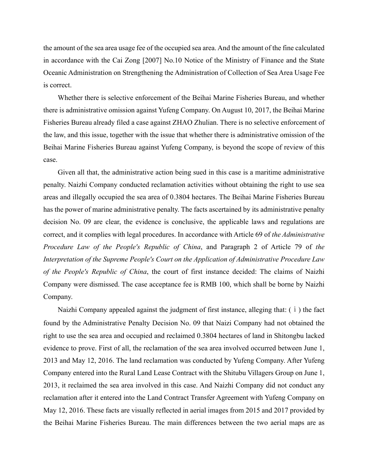the amount of the sea area usage fee of the occupied sea area. And the amount of the fine calculated in accordance with the Cai Zong [2007] No.10 Notice of the Ministry of Finance and the State Oceanic Administration on Strengthening the Administration of Collection of Sea Area Usage Fee is correct.

Whether there is selective enforcement of the Beihai Marine Fisheries Bureau, and whether there is administrative omission against Yufeng Company. On August 10, 2017, the Beihai Marine Fisheries Bureau already filed a case against ZHAO Zhulian. There is no selective enforcement of the law, and this issue, together with the issue that whether there is administrative omission of the Beihai Marine Fisheries Bureau against Yufeng Company, is beyond the scope of review of this case.

Given all that, the administrative action being sued in this case is a maritime administrative penalty. Naizhi Company conducted reclamation activities without obtaining the right to use sea areas and illegally occupied the sea area of 0.3804 hectares. The Beihai Marine Fisheries Bureau has the power of marine administrative penalty. The facts ascertained by its administrative penalty decision No. 09 are clear, the evidence is conclusive, the applicable laws and regulations are correct, and it complies with legal procedures. In accordance with Article 69 of *the Administrative Procedure Law of the People's Republic of China*, and Paragraph 2 of Article 79 of *the Interpretation of the Supreme People's Court on the Application of Administrative Procedure Law of the People's Republic of China*, the court of first instance decided: The claims of Naizhi Company were dismissed. The case acceptance fee is RMB 100, which shall be borne by Naizhi Company.

Naizhi Company appealed against the judgment of first instance, alleging that: (ⅰ) the fact found by the Administrative Penalty Decision No. 09 that Naizi Company had not obtained the right to use the sea area and occupied and reclaimed 0.3804 hectares of land in Shitongbu lacked evidence to prove. First of all, the reclamation of the sea area involved occurred between June 1, 2013 and May 12, 2016. The land reclamation was conducted by Yufeng Company. After Yufeng Company entered into the Rural Land Lease Contract with the Shitubu Villagers Group on June 1, 2013, it reclaimed the sea area involved in this case. And Naizhi Company did not conduct any reclamation after it entered into the Land Contract Transfer Agreement with Yufeng Company on May 12, 2016. These facts are visually reflected in aerial images from 2015 and 2017 provided by the Beihai Marine Fisheries Bureau. The main differences between the two aerial maps are as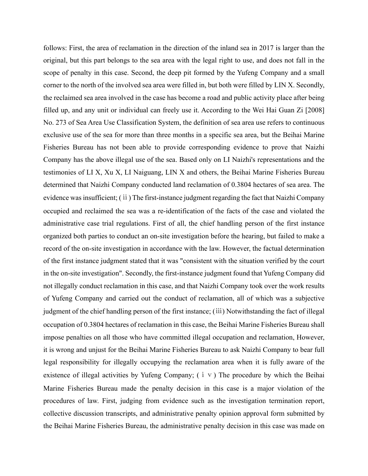follows: First, the area of reclamation in the direction of the inland sea in 2017 is larger than the original, but this part belongs to the sea area with the legal right to use, and does not fall in the scope of penalty in this case. Second, the deep pit formed by the Yufeng Company and a small corner to the north of the involved sea area were filled in, but both were filled by LIN X. Secondly, the reclaimed sea area involved in the case has become a road and public activity place after being filled up, and any unit or individual can freely use it. According to the Wei Hai Guan Zi [2008] No. 273 of Sea Area Use Classification System, the definition of sea area use refers to continuous exclusive use of the sea for more than three months in a specific sea area, but the Beihai Marine Fisheries Bureau has not been able to provide corresponding evidence to prove that Naizhi Company has the above illegal use of the sea. Based only on LI Naizhi's representations and the testimonies of LI X, Xu X, LI Naiguang, LIN X and others, the Beihai Marine Fisheries Bureau determined that Naizhi Company conducted land reclamation of 0.3804 hectares of sea area. The evidence was insufficient; (ⅱ) The first-instance judgment regarding the fact that Naizhi Company occupied and reclaimed the sea was a re-identification of the facts of the case and violated the administrative case trial regulations. First of all, the chief handling person of the first instance organized both parties to conduct an on-site investigation before the hearing, but failed to make a record of the on-site investigation in accordance with the law. However, the factual determination of the first instance judgment stated that it was "consistent with the situation verified by the court in the on-site investigation". Secondly, the first-instance judgment found that Yufeng Company did not illegally conduct reclamation in this case, and that Naizhi Company took over the work results of Yufeng Company and carried out the conduct of reclamation, all of which was a subjective judgment of the chief handling person of the first instance; (ⅲ) Notwithstanding the fact of illegal occupation of 0.3804 hectares of reclamation in this case, the Beihai Marine Fisheries Bureau shall impose penalties on all those who have committed illegal occupation and reclamation, However, it is wrong and unjust for the Beihai Marine Fisheries Bureau to ask Naizhi Company to bear full legal responsibility for illegally occupying the reclamation area when it is fully aware of the existence of illegal activities by Yufeng Company;  $(i \vee)$  The procedure by which the Beihai Marine Fisheries Bureau made the penalty decision in this case is a major violation of the procedures of law. First, judging from evidence such as the investigation termination report, collective discussion transcripts, and administrative penalty opinion approval form submitted by the Beihai Marine Fisheries Bureau, the administrative penalty decision in this case was made on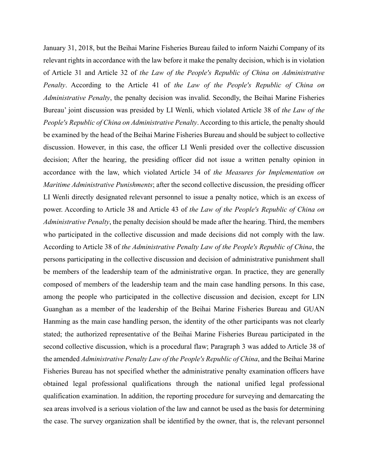January 31, 2018, but the Beihai Marine Fisheries Bureau failed to inform Naizhi Company of its relevant rights in accordance with the law before it make the penalty decision, which is in violation of Article 31 and Article 32 of *the Law of the People's Republic of China on Administrative Penalty*. According to the Article 41 of *the Law of the People's Republic of China on Administrative Penalty*, the penalty decision was invalid. Secondly, the Beihai Marine Fisheries Bureau' joint discussion was presided by LI Wenli, which violated Article 38 of *the Law of the People's Republic of China on Administrative Penalty*. According to this article, the penalty should be examined by the head of the Beihai Marine Fisheries Bureau and should be subject to collective discussion. However, in this case, the officer LI Wenli presided over the collective discussion decision; After the hearing, the presiding officer did not issue a written penalty opinion in accordance with the law, which violated Article 34 of *the Measures for Implementation on Maritime Administrative Punishments*; after the second collective discussion, the presiding officer LI Wenli directly designated relevant personnel to issue a penalty notice, which is an excess of power. According to Article 38 and Article 43 of *the Law of the People's Republic of China on Administrative Penalty*, the penalty decision should be made after the hearing. Third, the members who participated in the collective discussion and made decisions did not comply with the law. According to Article 38 of *the Administrative Penalty Law of the People's Republic of China*, the persons participating in the collective discussion and decision of administrative punishment shall be members of the leadership team of the administrative organ. In practice, they are generally composed of members of the leadership team and the main case handling persons. In this case, among the people who participated in the collective discussion and decision, except for LIN Guanghan as a member of the leadership of the Beihai Marine Fisheries Bureau and GUAN Hanming as the main case handling person, the identity of the other participants was not clearly stated; the authorized representative of the Beihai Marine Fisheries Bureau participated in the second collective discussion, which is a procedural flaw; Paragraph 3 was added to Article 38 of the amended *Administrative Penalty Law of the People's Republic of China*, and the Beihai Marine Fisheries Bureau has not specified whether the administrative penalty examination officers have obtained legal professional qualifications through the national unified legal professional qualification examination. In addition, the reporting procedure for surveying and demarcating the sea areas involved is a serious violation of the law and cannot be used as the basis for determining the case. The survey organization shall be identified by the owner, that is, the relevant personnel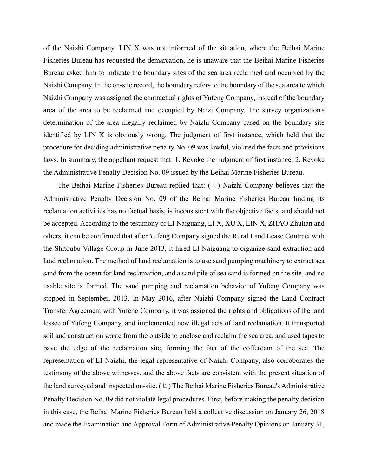of the Naizhi Company. LIN X was not informed of the situation, where the Beihai Marine Fisheries Bureau has requested the demarcation, he is unaware that the Beihai Marine Fisheries Bureau asked him to indicate the boundary sites of the sea area reclaimed and occupied by the Naizhi Company, In the on-site record, the boundary refers to the boundary of the sea area to which Naizhi Company was assigned the contractual rights of Yufeng Company, instead of the boundary area of the area to be reclaimed and occupied by Naizi Company. The survey organization's determination of the area illegally reclaimed by Naizhi Company based on the boundary site identified by LIN X is obviously wrong. The judgment of first instance, which held that the procedure for deciding administrative penalty No. 09 was lawful, violated the facts and provisions laws. In summary, the appellant request that: 1. Revoke the judgment of first instance; 2. Revoke the Administrative Penalty Decision No. 09 issued by the Beihai Marine Fisheries Bureau.

The Beihai Marine Fisheries Bureau replied that: (ⅰ) Naizhi Company believes that the Administrative Penalty Decision No. 09 of the Beihai Marine Fisheries Bureau finding its reclamation activities has no factual basis, is inconsistent with the objective facts, and should not be accepted. According to the testimony of LI Naiguang, LI X, XU X, LIN X, ZHAO Zhulian and others, it can be confirmed that after Yufeng Company signed the Rural Land Lease Contract with the Shitoubu Village Group in June 2013, it hired LI Naiguang to organize sand extraction and land reclamation. The method of land reclamation is to use sand pumping machinery to extract sea sand from the ocean for land reclamation, and a sand pile of sea sand is formed on the site, and no usable site is formed. The sand pumping and reclamation behavior of Yufeng Company was stopped in September, 2013. In May 2016, after Naizhi Company signed the Land Contract Transfer Agreement with Yufeng Company, it was assigned the rights and obligations of the land lessee of Yufeng Company, and implemented new illegal acts of land reclamation. It transported soil and construction waste from the outside to enclose and reclaim the sea area, and used tapes to pave the edge of the reclamation site, forming the fact of the cofferdam of the sea. The representation of LI Naizhi, the legal representative of Naizhi Company, also corroborates the testimony of the above witnesses, and the above facts are consistent with the present situation of the land surveyed and inspected on-site. (ⅱ) The Beihai Marine Fisheries Bureau's Administrative Penalty Decision No. 09 did not violate legal procedures. First, before making the penalty decision in this case, the Beihai Marine Fisheries Bureau held a collective discussion on January 26, 2018 and made the Examination and Approval Form of Administrative Penalty Opinions on January 31,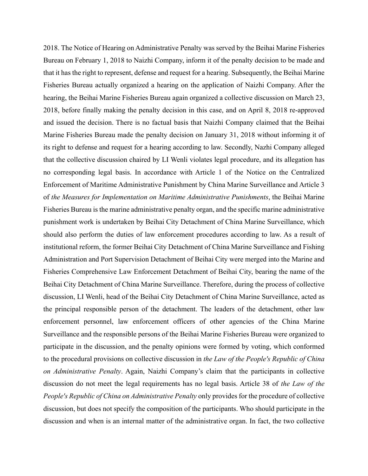2018. The Notice of Hearing on Administrative Penalty was served by the Beihai Marine Fisheries Bureau on February 1, 2018 to Naizhi Company, inform it of the penalty decision to be made and that it has the right to represent, defense and request for a hearing. Subsequently, the Beihai Marine Fisheries Bureau actually organized a hearing on the application of Naizhi Company. After the hearing, the Beihai Marine Fisheries Bureau again organized a collective discussion on March 23, 2018, before finally making the penalty decision in this case, and on April 8, 2018 re-approved and issued the decision. There is no factual basis that Naizhi Company claimed that the Beihai Marine Fisheries Bureau made the penalty decision on January 31, 2018 without informing it of its right to defense and request for a hearing according to law. Secondly, Nazhi Company alleged that the collective discussion chaired by LI Wenli violates legal procedure, and its allegation has no corresponding legal basis. In accordance with Article 1 of the Notice on the Centralized Enforcement of Maritime Administrative Punishment by China Marine Surveillance and Article 3 of *the Measures for Implementation on Maritime Administrative Punishments*, the Beihai Marine Fisheries Bureau is the marine administrative penalty organ, and the specific marine administrative punishment work is undertaken by Beihai City Detachment of China Marine Surveillance, which should also perform the duties of law enforcement procedures according to law. As a result of institutional reform, the former Beihai City Detachment of China Marine Surveillance and Fishing Administration and Port Supervision Detachment of Beihai City were merged into the Marine and Fisheries Comprehensive Law Enforcement Detachment of Beihai City, bearing the name of the Beihai City Detachment of China Marine Surveillance. Therefore, during the process of collective discussion, LI Wenli, head of the Beihai City Detachment of China Marine Surveillance, acted as the principal responsible person of the detachment. The leaders of the detachment, other law enforcement personnel, law enforcement officers of other agencies of the China Marine Surveillance and the responsible persons of the Beihai Marine Fisheries Bureau were organized to participate in the discussion, and the penalty opinions were formed by voting, which conformed to the procedural provisions on collective discussion in *the Law of the People's Republic of China on Administrative Penalty*. Again, Naizhi Company's claim that the participants in collective discussion do not meet the legal requirements has no legal basis. Article 38 of *the Law of the People's Republic of China on Administrative Penalty* only provides for the procedure of collective discussion, but does not specify the composition of the participants. Who should participate in the discussion and when is an internal matter of the administrative organ. In fact, the two collective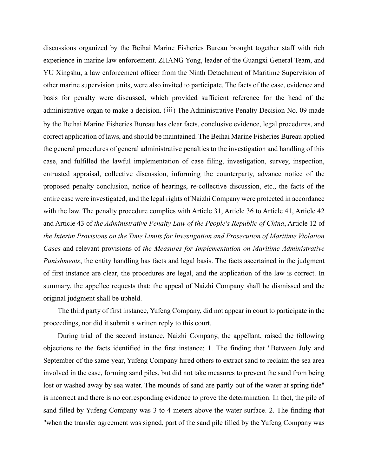discussions organized by the Beihai Marine Fisheries Bureau brought together staff with rich experience in marine law enforcement. ZHANG Yong, leader of the Guangxi General Team, and YU Xingshu, a law enforcement officer from the Ninth Detachment of Maritime Supervision of other marine supervision units, were also invited to participate. The facts of the case, evidence and basis for penalty were discussed, which provided sufficient reference for the head of the administrative organ to make a decision. (ⅲ) The Administrative Penalty Decision No. 09 made by the Beihai Marine Fisheries Bureau has clear facts, conclusive evidence, legal procedures, and correct application of laws, and should be maintained. The Beihai Marine Fisheries Bureau applied the general procedures of general administrative penalties to the investigation and handling of this case, and fulfilled the lawful implementation of case filing, investigation, survey, inspection, entrusted appraisal, collective discussion, informing the counterparty, advance notice of the proposed penalty conclusion, notice of hearings, re-collective discussion, etc., the facts of the entire case were investigated, and the legal rights of Naizhi Company were protected in accordance with the law. The penalty procedure complies with Article 31, Article 36 to Article 41, Article 42 and Article 43 of *the Administrative Penalty Law of the People's Republic of China*, Article 12 of *the Interim Provisions on the Time Limits for Investigation and Prosecution of Maritime Violation Cases* and relevant provisions of *the Measures for Implementation on Maritime Administrative Punishments*, the entity handling has facts and legal basis. The facts ascertained in the judgment of first instance are clear, the procedures are legal, and the application of the law is correct. In summary, the appellee requests that: the appeal of Naizhi Company shall be dismissed and the original judgment shall be upheld.

The third party of first instance, Yufeng Company, did not appear in court to participate in the proceedings, nor did it submit a written reply to this court.

During trial of the second instance, Naizhi Company, the appellant, raised the following objections to the facts identified in the first instance: 1. The finding that "Between July and September of the same year, Yufeng Company hired others to extract sand to reclaim the sea area involved in the case, forming sand piles, but did not take measures to prevent the sand from being lost or washed away by sea water. The mounds of sand are partly out of the water at spring tide" is incorrect and there is no corresponding evidence to prove the determination. In fact, the pile of sand filled by Yufeng Company was 3 to 4 meters above the water surface. 2. The finding that "when the transfer agreement was signed, part of the sand pile filled by the Yufeng Company was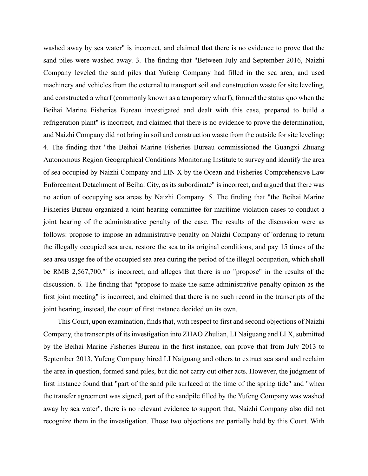washed away by sea water" is incorrect, and claimed that there is no evidence to prove that the sand piles were washed away. 3. The finding that "Between July and September 2016, Naizhi Company leveled the sand piles that Yufeng Company had filled in the sea area, and used machinery and vehicles from the external to transport soil and construction waste for site leveling, and constructed a wharf (commonly known as a temporary wharf), formed the status quo when the Beihai Marine Fisheries Bureau investigated and dealt with this case, prepared to build a refrigeration plant" is incorrect, and claimed that there is no evidence to prove the determination, and Naizhi Company did not bring in soil and construction waste from the outside for site leveling; 4. The finding that "the Beihai Marine Fisheries Bureau commissioned the Guangxi Zhuang Autonomous Region Geographical Conditions Monitoring Institute to survey and identify the area of sea occupied by Naizhi Company and LIN X by the Ocean and Fisheries Comprehensive Law Enforcement Detachment of Beihai City, as its subordinate" is incorrect, and argued that there was no action of occupying sea areas by Naizhi Company. 5. The finding that "the Beihai Marine Fisheries Bureau organized a joint hearing committee for maritime violation cases to conduct a joint hearing of the administrative penalty of the case. The results of the discussion were as follows: propose to impose an administrative penalty on Naizhi Company of 'ordering to return the illegally occupied sea area, restore the sea to its original conditions, and pay 15 times of the sea area usage fee of the occupied sea area during the period of the illegal occupation, which shall be RMB 2,567,700.'" is incorrect, and alleges that there is no "propose" in the results of the discussion. 6. The finding that "propose to make the same administrative penalty opinion as the first joint meeting" is incorrect, and claimed that there is no such record in the transcripts of the joint hearing, instead, the court of first instance decided on its own.

This Court, upon examination, finds that, with respect to first and second objections of Naizhi Company, the transcripts of its investigation into ZHAO Zhulian, LI Naiguang and LI X, submitted by the Beihai Marine Fisheries Bureau in the first instance, can prove that from July 2013 to September 2013, Yufeng Company hired LI Naiguang and others to extract sea sand and reclaim the area in question, formed sand piles, but did not carry out other acts. However, the judgment of first instance found that "part of the sand pile surfaced at the time of the spring tide" and "when the transfer agreement was signed, part of the sandpile filled by the Yufeng Company was washed away by sea water", there is no relevant evidence to support that, Naizhi Company also did not recognize them in the investigation. Those two objections are partially held by this Court. With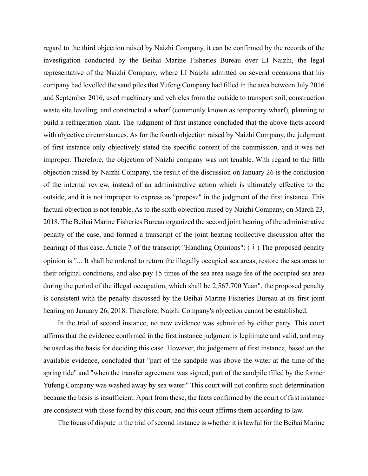regard to the third objection raised by Naizhi Company, it can be confirmed by the records of the investigation conducted by the Beihai Marine Fisheries Bureau over LI Naizhi, the legal representative of the Naizhi Company, where LI Naizhi admitted on several occasions that his company had levelled the sand piles that Yufeng Company had filled in the area between July 2016 and September 2016, used machinery and vehicles from the outside to transport soil, construction waste site leveling, and constructed a wharf (commonly known as temporary wharf), planning to build a refrigeration plant. The judgment of first instance concluded that the above facts accord with objective circumstances. As for the fourth objection raised by Naizhi Company, the judgment of first instance only objectively stated the specific content of the commission, and it was not improper. Therefore, the objection of Naizhi company was not tenable. With regard to the fifth objection raised by Naizhi Company, the result of the discussion on January 26 is the conclusion of the internal review, instead of an administrative action which is ultimately effective to the outside, and it is not improper to express as "propose" in the judgment of the first instance. This factual objection is not tenable. As to the sixth objection raised by Naizhi Company, on March 23, 2018, The Beihai Marine Fisheries Bureau organized the second joint hearing of the administrative penalty of the case, and formed a transcript of the joint hearing (collective discussion after the hearing) of this case. Article 7 of the transcript "Handling Opinions": ( i ) The proposed penalty opinion is "... It shall be ordered to return the illegally occupied sea areas, restore the sea areas to their original conditions, and also pay 15 times of the sea area usage fee of the occupied sea area during the period of the illegal occupation, which shall be 2,567,700 Yuan", the proposed penalty is consistent with the penalty discussed by the Beihai Marine Fisheries Bureau at its first joint hearing on January 26, 2018. Therefore, Naizhi Company's objection cannot be established.

In the trial of second instance, no new evidence was submitted by either party. This court affirms that the evidence confirmed in the first instance judgment is legitimate and valid, and may be used as the basis for deciding this case. However, the judgement of first instance, based on the available evidence, concluded that "part of the sandpile was above the water at the time of the spring tide" and "when the transfer agreement was signed, part of the sandpile filled by the former Yufeng Company was washed away by sea water." This court will not confirm such determination because the basis is insufficient. Apart from these, the facts confirmed by the court of first instance are consistent with those found by this court, and this court affirms them according to law.

The focus of dispute in the trial of second instance is whether it is lawful for the Beihai Marine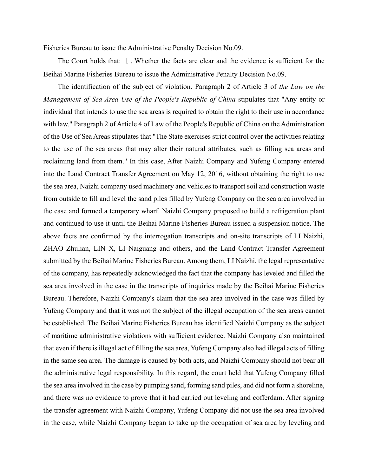Fisheries Bureau to issue the Administrative Penalty Decision No.09.

The Court holds that: Ⅰ. Whether the facts are clear and the evidence is sufficient for the Beihai Marine Fisheries Bureau to issue the Administrative Penalty Decision No.09.

The identification of the subject of violation. Paragraph 2 of Article 3 of *the Law on the Management of Sea Area Use of the People's Republic of China* stipulates that "Any entity or individual that intends to use the sea areas is required to obtain the right to their use in accordance with law." Paragraph 2 of Article 4 of Law of the People's Republic of China on the Administration of the Use of Sea Areas stipulates that "The State exercises strict control over the activities relating to the use of the sea areas that may alter their natural attributes, such as filling sea areas and reclaiming land from them." In this case, After Naizhi Company and Yufeng Company entered into the Land Contract Transfer Agreement on May 12, 2016, without obtaining the right to use the sea area, Naizhi company used machinery and vehicles to transport soil and construction waste from outside to fill and level the sand piles filled by Yufeng Company on the sea area involved in the case and formed a temporary wharf. Naizhi Company proposed to build a refrigeration plant and continued to use it until the Beihai Marine Fisheries Bureau issued a suspension notice. The above facts are confirmed by the interrogation transcripts and on-site transcripts of LI Naizhi, ZHAO Zhulian, LIN X, LI Naiguang and others, and the Land Contract Transfer Agreement submitted by the Beihai Marine Fisheries Bureau. Among them, LI Naizhi, the legal representative of the company, has repeatedly acknowledged the fact that the company has leveled and filled the sea area involved in the case in the transcripts of inquiries made by the Beihai Marine Fisheries Bureau. Therefore, Naizhi Company's claim that the sea area involved in the case was filled by Yufeng Company and that it was not the subject of the illegal occupation of the sea areas cannot be established. The Beihai Marine Fisheries Bureau has identified Naizhi Company as the subject of maritime administrative violations with sufficient evidence. Naizhi Company also maintained that even if there is illegal act of filling the sea area, Yufeng Company also had illegal acts of filling in the same sea area. The damage is caused by both acts, and Naizhi Company should not bear all the administrative legal responsibility. In this regard, the court held that Yufeng Company filled the sea area involved in the case by pumping sand, forming sand piles, and did not form a shoreline, and there was no evidence to prove that it had carried out leveling and cofferdam. After signing the transfer agreement with Naizhi Company, Yufeng Company did not use the sea area involved in the case, while Naizhi Company began to take up the occupation of sea area by leveling and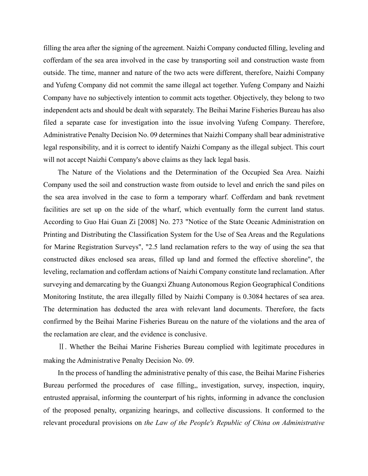filling the area after the signing of the agreement. Naizhi Company conducted filling, leveling and cofferdam of the sea area involved in the case by transporting soil and construction waste from outside. The time, manner and nature of the two acts were different, therefore, Naizhi Company and Yufeng Company did not commit the same illegal act together. Yufeng Company and Naizhi Company have no subjectively intention to commit acts together. Objectively, they belong to two independent acts and should be dealt with separately. The Beihai Marine Fisheries Bureau has also filed a separate case for investigation into the issue involving Yufeng Company. Therefore, Administrative Penalty Decision No. 09 determines that Naizhi Company shall bear administrative legal responsibility, and it is correct to identify Naizhi Company as the illegal subject. This court will not accept Naizhi Company's above claims as they lack legal basis.

The Nature of the Violations and the Determination of the Occupied Sea Area. Naizhi Company used the soil and construction waste from outside to level and enrich the sand piles on the sea area involved in the case to form a temporary wharf. Cofferdam and bank revetment facilities are set up on the side of the wharf, which eventually form the current land status. According to Guo Hai Guan Zi [2008] No. 273 "Notice of the State Oceanic Administration on Printing and Distributing the Classification System for the Use of Sea Areas and the Regulations for Marine Registration Surveys", "2.5 land reclamation refers to the way of using the sea that constructed dikes enclosed sea areas, filled up land and formed the effective shoreline", the leveling, reclamation and cofferdam actions of Naizhi Company constitute land reclamation. After surveying and demarcating by the Guangxi Zhuang Autonomous Region Geographical Conditions Monitoring Institute, the area illegally filled by Naizhi Company is 0.3084 hectares of sea area. The determination has deducted the area with relevant land documents. Therefore, the facts confirmed by the Beihai Marine Fisheries Bureau on the nature of the violations and the area of the reclamation are clear, and the evidence is conclusive.

Ⅱ. Whether the Beihai Marine Fisheries Bureau complied with legitimate procedures in making the Administrative Penalty Decision No. 09.

In the process of handling the administrative penalty of this case, the Beihai Marine Fisheries Bureau performed the procedures of case filling,, investigation, survey, inspection, inquiry, entrusted appraisal, informing the counterpart of his rights, informing in advance the conclusion of the proposed penalty, organizing hearings, and collective discussions. It conformed to the relevant procedural provisions on *the Law of the People's Republic of China on Administrative*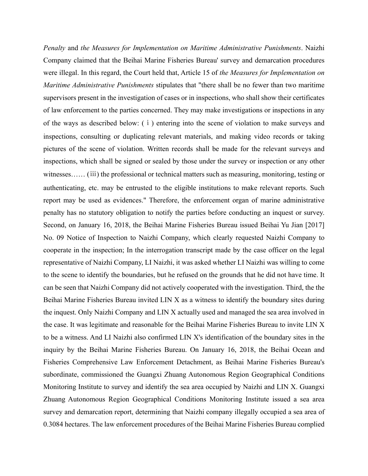*Penalty* and *the Measures for Implementation on Maritime Administrative Punishments*. Naizhi Company claimed that the Beihai Marine Fisheries Bureau' survey and demarcation procedures were illegal. In this regard, the Court held that, Article 15 of *the Measures for Implementation on Maritime Administrative Punishments* stipulates that "there shall be no fewer than two maritime supervisors present in the investigation of cases or in inspections, who shall show their certificates of law enforcement to the parties concerned. They may make investigations or inspections in any of the ways as described below: (ⅰ) entering into the scene of violation to make surveys and inspections, consulting or duplicating relevant materials, and making video records or taking pictures of the scene of violation. Written records shall be made for the relevant surveys and inspections, which shall be signed or sealed by those under the survey or inspection or any other witnesses...... (iii) the professional or technical matters such as measuring, monitoring, testing or authenticating, etc. may be entrusted to the eligible institutions to make relevant reports. Such report may be used as evidences." Therefore, the enforcement organ of marine administrative penalty has no statutory obligation to notify the parties before conducting an inquest or survey. Second, on January 16, 2018, the Beihai Marine Fisheries Bureau issued Beihai Yu Jian [2017] No. 09 Notice of Inspection to Naizhi Company, which clearly requested Naizhi Company to cooperate in the inspection; In the interrogation transcript made by the case officer on the legal representative of Naizhi Company, LI Naizhi, it was asked whether LI Naizhi was willing to come to the scene to identify the boundaries, but he refused on the grounds that he did not have time. It can be seen that Naizhi Company did not actively cooperated with the investigation. Third, the the Beihai Marine Fisheries Bureau invited LIN X as a witness to identify the boundary sites during the inquest. Only Naizhi Company and LIN X actually used and managed the sea area involved in the case. It was legitimate and reasonable for the Beihai Marine Fisheries Bureau to invite LIN X to be a witness. And LI Naizhi also confirmed LIN X's identification of the boundary sites in the inquiry by the Beihai Marine Fisheries Bureau. On January 16, 2018, the Beihai Ocean and Fisheries Comprehensive Law Enforcement Detachment, as Beihai Marine Fisheries Bureau's subordinate, commissioned the Guangxi Zhuang Autonomous Region Geographical Conditions Monitoring Institute to survey and identify the sea area occupied by Naizhi and LIN X. Guangxi Zhuang Autonomous Region Geographical Conditions Monitoring Institute issued a sea area survey and demarcation report, determining that Naizhi company illegally occupied a sea area of 0.3084 hectares. The law enforcement procedures of the Beihai Marine Fisheries Bureau complied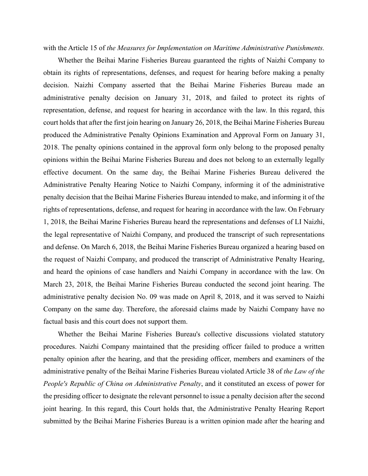with the Article 15 of *the Measures for Implementation on Maritime Administrative Punishments.*

Whether the Beihai Marine Fisheries Bureau guaranteed the rights of Naizhi Company to obtain its rights of representations, defenses, and request for hearing before making a penalty decision. Naizhi Company asserted that the Beihai Marine Fisheries Bureau made an administrative penalty decision on January 31, 2018, and failed to protect its rights of representation, defense, and request for hearing in accordance with the law. In this regard, this court holds that after the first join hearing on January 26, 2018, the Beihai Marine Fisheries Bureau produced the Administrative Penalty Opinions Examination and Approval Form on January 31, 2018. The penalty opinions contained in the approval form only belong to the proposed penalty opinions within the Beihai Marine Fisheries Bureau and does not belong to an externally legally effective document. On the same day, the Beihai Marine Fisheries Bureau delivered the Administrative Penalty Hearing Notice to Naizhi Company, informing it of the administrative penalty decision that the Beihai Marine Fisheries Bureau intended to make, and informing it of the rights of representations, defense, and request for hearing in accordance with the law. On February 1, 2018, the Beihai Marine Fisheries Bureau heard the representations and defenses of LI Naizhi, the legal representative of Naizhi Company, and produced the transcript of such representations and defense. On March 6, 2018, the Beihai Marine Fisheries Bureau organized a hearing based on the request of Naizhi Company, and produced the transcript of Administrative Penalty Hearing, and heard the opinions of case handlers and Naizhi Company in accordance with the law. On March 23, 2018, the Beihai Marine Fisheries Bureau conducted the second joint hearing. The administrative penalty decision No. 09 was made on April 8, 2018, and it was served to Naizhi Company on the same day. Therefore, the aforesaid claims made by Naizhi Company have no factual basis and this court does not support them.

Whether the Beihai Marine Fisheries Bureau's collective discussions violated statutory procedures. Naizhi Company maintained that the presiding officer failed to produce a written penalty opinion after the hearing, and that the presiding officer, members and examiners of the administrative penalty of the Beihai Marine Fisheries Bureau violated Article 38 of *the Law of the People's Republic of China on Administrative Penalty*, and it constituted an excess of power for the presiding officer to designate the relevant personnel to issue a penalty decision after the second joint hearing. In this regard, this Court holds that, the Administrative Penalty Hearing Report submitted by the Beihai Marine Fisheries Bureau is a written opinion made after the hearing and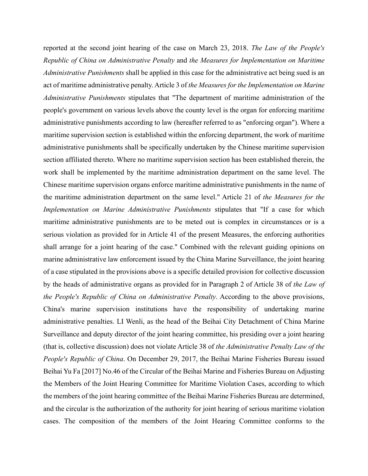reported at the second joint hearing of the case on March 23, 2018. *The Law of the People's Republic of China on Administrative Penalty* and *the Measures for Implementation on Maritime Administrative Punishments* shall be applied in this case for the administrative act being sued is an act of maritime administrative penalty. Article 3 of *the Measures for the Implementation on Marine Administrative Punishments* stipulates that "The department of maritime administration of the people's government on various levels above the county level is the organ for enforcing maritime administrative punishments according to law (hereafter referred to as "enforcing organ"). Where a maritime supervision section is established within the enforcing department, the work of maritime administrative punishments shall be specifically undertaken by the Chinese maritime supervision section affiliated thereto. Where no maritime supervision section has been established therein, the work shall be implemented by the maritime administration department on the same level. The Chinese maritime supervision organs enforce maritime administrative punishments in the name of the maritime administration department on the same level." Article 21 of *the Measures for the Implementation on Marine Administrative Punishments* stipulates that "If a case for which maritime administrative punishments are to be meted out is complex in circumstances or is a serious violation as provided for in Article 41 of the present Measures, the enforcing authorities shall arrange for a joint hearing of the case." Combined with the relevant guiding opinions on marine administrative law enforcement issued by the China Marine Surveillance, the joint hearing of a case stipulated in the provisions above is a specific detailed provision for collective discussion by the heads of administrative organs as provided for in Paragraph 2 of Article 38 of *the Law of the People's Republic of China on Administrative Penalty*. According to the above provisions, China's marine supervision institutions have the responsibility of undertaking marine administrative penalties. LI Wenli, as the head of the Beihai City Detachment of China Marine Surveillance and deputy director of the joint hearing committee, his presiding over a joint hearing (that is, collective discussion) does not violate Article 38 of *the Administrative Penalty Law of the People's Republic of China*. On December 29, 2017, the Beihai Marine Fisheries Bureau issued Beihai Yu Fa [2017] No.46 of the Circular of the Beihai Marine and Fisheries Bureau on Adjusting the Members of the Joint Hearing Committee for Maritime Violation Cases, according to which the members of the joint hearing committee of the Beihai Marine Fisheries Bureau are determined, and the circular is the authorization of the authority for joint hearing of serious maritime violation cases. The composition of the members of the Joint Hearing Committee conforms to the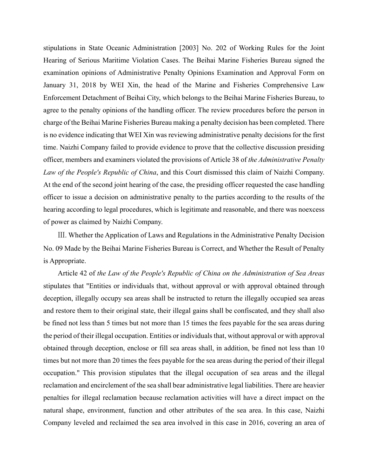stipulations in State Oceanic Administration [2003] No. 202 of Working Rules for the Joint Hearing of Serious Maritime Violation Cases. The Beihai Marine Fisheries Bureau signed the examination opinions of Administrative Penalty Opinions Examination and Approval Form on January 31, 2018 by WEI Xin, the head of the Marine and Fisheries Comprehensive Law Enforcement Detachment of Beihai City, which belongs to the Beihai Marine Fisheries Bureau, to agree to the penalty opinions of the handling officer. The review procedures before the person in charge of the Beihai Marine Fisheries Bureau making a penalty decision has been completed. There is no evidence indicating that WEI Xin was reviewing administrative penalty decisions for the first time. Naizhi Company failed to provide evidence to prove that the collective discussion presiding officer, members and examiners violated the provisions of Article 38 of *the Administrative Penalty Law of the People's Republic of China*, and this Court dismissed this claim of Naizhi Company. At the end of the second joint hearing of the case, the presiding officer requested the case handling officer to issue a decision on administrative penalty to the parties according to the results of the hearing according to legal procedures, which is legitimate and reasonable, and there was noexcess of power as claimed by Naizhi Company.

Ⅲ. Whether the Application of Laws and Regulations in the Administrative Penalty Decision No. 09 Made by the Beihai Marine Fisheries Bureau is Correct, and Whether the Result of Penalty is Appropriate.

Article 42 of *the Law of the People's Republic of China on the Administration of Sea Areas* stipulates that "Entities or individuals that, without approval or with approval obtained through deception, illegally occupy sea areas shall be instructed to return the illegally occupied sea areas and restore them to their original state, their illegal gains shall be confiscated, and they shall also be fined not less than 5 times but not more than 15 times the fees payable for the sea areas during the period of their illegal occupation. Entities or individuals that, without approval or with approval obtained through deception, enclose or fill sea areas shall, in addition, be fined not less than 10 times but not more than 20 times the fees payable for the sea areas during the period of their illegal occupation." This provision stipulates that the illegal occupation of sea areas and the illegal reclamation and encirclement of the sea shall bear administrative legal liabilities. There are heavier penalties for illegal reclamation because reclamation activities will have a direct impact on the natural shape, environment, function and other attributes of the sea area. In this case, Naizhi Company leveled and reclaimed the sea area involved in this case in 2016, covering an area of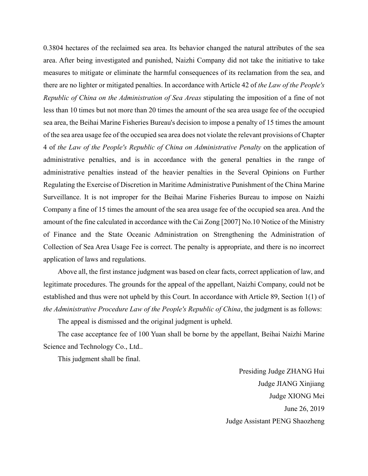0.3804 hectares of the reclaimed sea area. Its behavior changed the natural attributes of the sea area. After being investigated and punished, Naizhi Company did not take the initiative to take measures to mitigate or eliminate the harmful consequences of its reclamation from the sea, and there are no lighter or mitigated penalties. In accordance with Article 42 of *the Law of the People's Republic of China on the Administration of Sea Areas* stipulating the imposition of a fine of not less than 10 times but not more than 20 times the amount of the sea area usage fee of the occupied sea area, the Beihai Marine Fisheries Bureau's decision to impose a penalty of 15 times the amount of the sea area usage fee of the occupied sea area does not violate the relevant provisions of Chapter 4 of *the Law of the People's Republic of China on Administrative Penalty* on the application of administrative penalties, and is in accordance with the general penalties in the range of administrative penalties instead of the heavier penalties in the Several Opinions on Further Regulating the Exercise of Discretion in Maritime Administrative Punishment of the China Marine Surveillance. It is not improper for the Beihai Marine Fisheries Bureau to impose on Naizhi Company a fine of 15 times the amount of the sea area usage fee of the occupied sea area. And the amount of the fine calculated in accordance with the Cai Zong [2007] No.10 Notice of the Ministry of Finance and the State Oceanic Administration on Strengthening the Administration of Collection of Sea Area Usage Fee is correct. The penalty is appropriate, and there is no incorrect application of laws and regulations.

Above all, the first instance judgment was based on clear facts, correct application of law, and legitimate procedures. The grounds for the appeal of the appellant, Naizhi Company, could not be established and thus were not upheld by this Court. In accordance with Article 89, Section 1(1) of *the Administrative Procedure Law of the People's Republic of China*, the judgment is as follows:

The appeal is dismissed and the original judgment is upheld.

The case acceptance fee of 100 Yuan shall be borne by the appellant, Beihai Naizhi Marine Science and Technology Co., Ltd..

This judgment shall be final.

Presiding Judge ZHANG Hui Judge JIANG Xinjiang Judge XIONG Mei June 26, 2019 Judge Assistant PENG Shaozheng